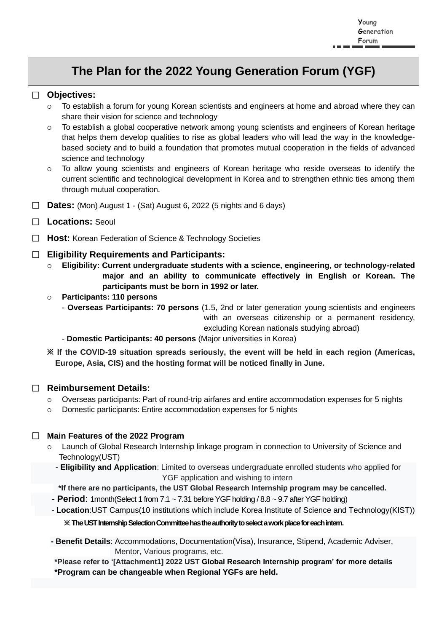# **The Plan for the 2022 Young Generation Forum (YGF)**

#### □ **Objectives:**

- To establish a forum for young Korean scientists and engineers at home and abroad where they can share their vision for science and technology
- To establish a global cooperative network among young scientists and engineers of Korean heritage that helps them develop qualities to rise as global leaders who will lead the way in the knowledgebased society and to build a foundation that promotes mutual cooperation in the fields of advanced science and technology
- To allow young scientists and engineers of Korean heritage who reside overseas to identify the current scientific and technological development in Korea and to strengthen ethnic ties among them through mutual cooperation.
- □ **Dates:** (Mon) August 1 (Sat) August 6, 2022 (5 nights and 6 days)
- □ **Locations:** Seoul
- □ **Host:** Korean Federation of Science & Technology Societies

#### □ **Eligibility Requirements and Participants:**

- **Eligibility: Current undergraduate students with a science, engineering, or technology-related major and an ability to communicate effectively in English or Korean. The participants must be born in 1992 or later.**
- **Participants: 110 persons**
	- **Overseas Participants: 70 persons** (1.5, 2nd or later generation young scientists and engineers with an overseas citizenship or a permanent residency, excluding Korean nationals studying abroad)
	- **Domestic Participants: 40 persons** (Major universities in Korea)

**※ If the COVID-19 situation spreads seriously, the event will be held in each region (Americas, Europe, Asia, CIS) and the hosting format will be noticed finally in June.**

#### □ **Reimbursement Details:**

- $\circ$  Overseas participants: Part of round-trip airfares and entire accommodation expenses for 5 nights
- Domestic participants: Entire accommodation expenses for 5 nights

#### □ **Main Features of the 2022 Program**

- Launch of Global Research Internship linkage program in connection to University of Science and Technology(UST)
	- **Eligibility and Application**: Limited to overseas undergraduate enrolled students who applied for YGF application and wishing to intern

**\*If there are no participants, the UST Global Research Internship program may be cancelled.**

- **Period**: 1month(Select 1 from 7.1 ~ 7.31 before YGF holding / 8.8 ~ 9.7 after YGF holding)
- **Location**:UST Campus(10 institutions which include Korea Institute of Science and Technology(KIST))

#### **※ The UST Internship Selection Committee has the authority to select a work place for each intern.**

**- Benefit Details**: Accommodations, Documentation(Visa), Insurance, Stipend, Academic Adviser, Mentor, Various programs, etc.

**\*Please refer to '[Attachment1] 2022 UST Global Research Internship program' for more details \*Program can be changeable when Regional YGFs are held.**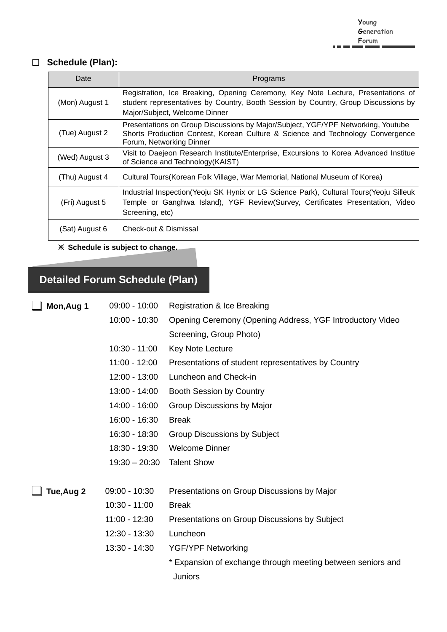### □ **Schedule (Plan):**

| Date           | Programs                                                                                                                                                                                                |
|----------------|---------------------------------------------------------------------------------------------------------------------------------------------------------------------------------------------------------|
| (Mon) August 1 | Registration, Ice Breaking, Opening Ceremony, Key Note Lecture, Presentations of<br>student representatives by Country, Booth Session by Country, Group Discussions by<br>Major/Subject, Welcome Dinner |
| (Tue) August 2 | Presentations on Group Discussions by Major/Subject, YGF/YPF Networking, Youtube<br>Shorts Production Contest, Korean Culture & Science and Technology Convergence<br>Forum, Networking Dinner          |
| (Wed) August 3 | Visit to Daejeon Research Institute/Enterprise, Excursions to Korea Advanced Institue<br>of Science and Technology (KAIST)                                                                              |
| (Thu) August 4 | Cultural Tours (Korean Folk Village, War Memorial, National Museum of Korea)                                                                                                                            |
| (Fri) August 5 | Industrial Inspection (Yeoju SK Hynix or LG Science Park), Cultural Tours (Yeoju Silleuk<br>Temple or Ganghwa Island), YGF Review(Survey, Certificates Presentation, Video<br>Screening, etc)           |
| (Sat) August 6 | Check-out & Dismissal                                                                                                                                                                                   |

**※ Schedule is subject to change.** 

# **Detailed Forum Schedule (Plan)**

| Mon, Aug 1 | $09:00 - 10:00$ | Registration & Ice Breaking                                 |
|------------|-----------------|-------------------------------------------------------------|
|            | $10:00 - 10:30$ | Opening Ceremony (Opening Address, YGF Introductory Video   |
|            |                 | Screening, Group Photo)                                     |
|            | $10:30 - 11:00$ | Key Note Lecture                                            |
|            | $11:00 - 12:00$ | Presentations of student representatives by Country         |
|            | $12:00 - 13:00$ | Luncheon and Check-in                                       |
|            | 13:00 - 14:00   | <b>Booth Session by Country</b>                             |
|            | 14:00 - 16:00   | Group Discussions by Major                                  |
|            | 16:00 - 16:30   | <b>Break</b>                                                |
|            | 16:30 - 18:30   | <b>Group Discussions by Subject</b>                         |
|            | 18:30 - 19:30   | <b>Welcome Dinner</b>                                       |
|            | $19:30 - 20:30$ | <b>Talent Show</b>                                          |
|            |                 |                                                             |
| Tue, Aug 2 | 09:00 - 10:30   | Presentations on Group Discussions by Major                 |
|            | $10:30 - 11:00$ | <b>Break</b>                                                |
|            | $11:00 - 12:30$ | Presentations on Group Discussions by Subject               |
|            | 12:30 - 13:30   | Luncheon                                                    |
|            | 13:30 - 14:30   | <b>YGF/YPF Networking</b>                                   |
|            |                 | * Expansion of exchange through meeting between seniors and |
|            |                 | <b>Juniors</b>                                              |
|            |                 |                                                             |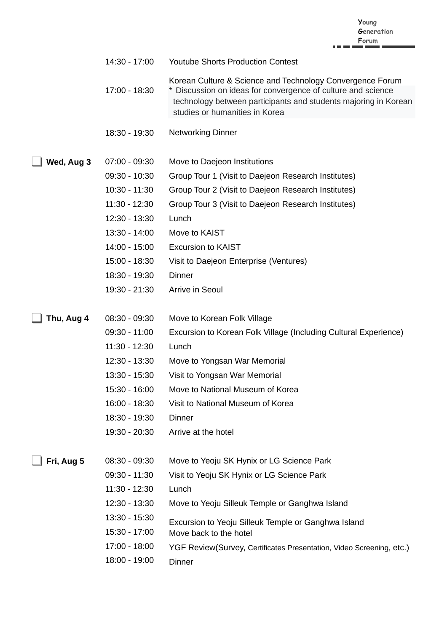|  | Young      |
|--|------------|
|  | Generation |
|  | Forum      |

|  | 14:30 - 17:00 | <b>Youtube Shorts Production Contest</b> |
|--|---------------|------------------------------------------|
|--|---------------|------------------------------------------|

- 17:00 18:30 Korean Culture & Science and Technology Convergence Forum \* Discussion on ideas for convergence of culture and science technology between participants and students majoring in Korean studies or humanities in Korea
- 18:30 19:30 Networking Dinner
- **Wed, Aug 3** 07:00 09:30 Move to Daejeon Institutions
	- 09:30 10:30 Group Tour 1 (Visit to Daejeon Research Institutes)
	- 10:30 11:30 Group Tour 2 (Visit to Daejeon Research Institutes)
	- 11:30 12:30 Group Tour 3 (Visit to Daejeon Research Institutes)
	- 12:30 13:30 Lunch
	- 13:30 14:00 Move to KAIST
	- 14:00 15:00 Excursion to KAIST
	- 15:00 18:30 Visit to Daejeon Enterprise (Ventures)
	- 18:30 19:30 **Dinner**
	- 19:30 21:30 Arrive in Seoul

- **Thu, Aug 4** 08:30 09:30 Move to Korean Folk Village
	- 09:30 11:00 Excursion to Korean Folk Village (Including Cultural Experience)
	- 11:30 12:30 Lunch
	- 12:30 13:30 Move to Yongsan War Memorial
	- 13:30 15:30 Visit to Yongsan War Memorial
	- 15:30 16:00 Move to National Museum of Korea
	- 16:00 18:30 Visit to National Museum of Korea
	- 18:30 19:30 **Dinner**
	- 19:30 20:30 Arrive at the hotel

**Fri, Aug 5** 08:30 - 09:30

- Move to Yeoju SK Hynix or LG Science Park
- 09:30 11:30 Visit to Yeoju SK Hynix or LG Science Park
- 11:30 12:30 Lunch
- 12:30 13:30 Move to Yeoju Silleuk Temple or Ganghwa Island
- 13:30 15:30 Excursion to Yeoju Silleuk Temple or Ganghwa Island
- 15:30 17:00 Move back to the hotel
- 17:00 18:00 YGF Review(Survey, Certificates Presentation, Video Screening, etc.)
- 18:00 19:00 **Dinner**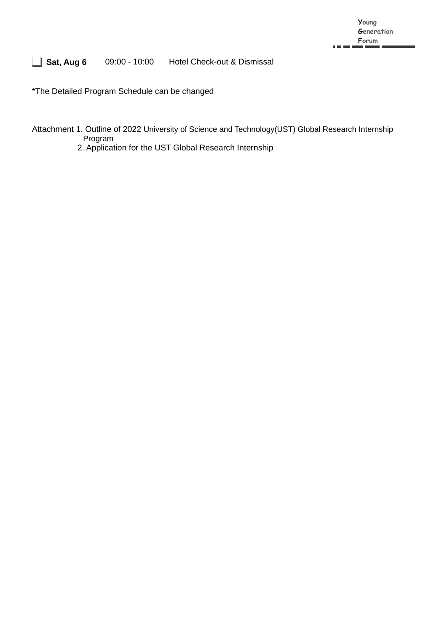#### **Sat, Aug 6** 09:00 - 10:00 Hotel Check-out & Dismissal

\*The Detailed Program Schedule can be changed

Attachment 1. Outline of 2022 University of Science and Technology(UST) Global Research Internship Program

2. Application for the UST Global Research Internship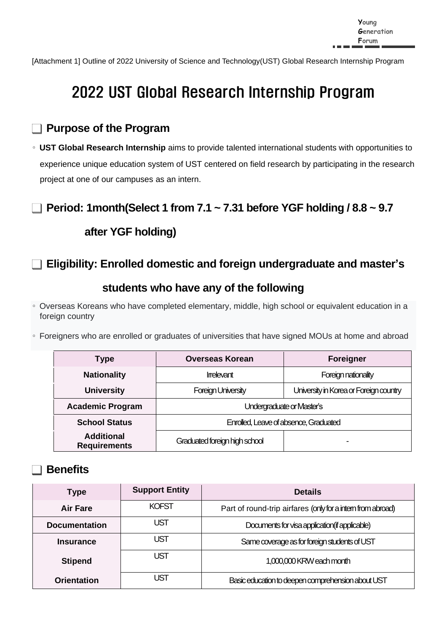[Attachment 1] Outline of 2022 University of Science and Technology(UST) Global Research Internship Program

# 2022 UST Global Research Internship Program

## **Purpose of the Program**

∘ **UST Global Research Internship** aims to provide talented international students with opportunities to experience unique education system of UST centered on field research by participating in the research project at one of our campuses as an intern.

## **Period: 1month(Select 1 from 7.1 ~ 7.31 before YGF holding / 8.8 ~ 9.7**

## **after YGF holding)**

## **Eligibility: Enrolled domestic and foreign undergraduate and master's**

## **students who have any of the following**

∘ Overseas Koreans who have completed elementary, middle, high school or equivalent education in a foreign country

∘ Foreigners who are enrolled or graduates of universities that have signed MOUs at home and abroad

| Type                                     | <b>Overseas Korean</b>                | <b>Foreigner</b>                       |
|------------------------------------------|---------------------------------------|----------------------------------------|
| <b>Nationality</b>                       | Irrelevant                            | Foreign nationality                    |
| <b>University</b>                        | <b>Foreign University</b>             | University in Korea or Foreign country |
| <b>Academic Program</b>                  | Undergraduate or Master's             |                                        |
| <b>School Status</b>                     | Enrolled, Leave of absence, Graduated |                                        |
| <b>Additional</b><br><b>Requirements</b> | Graduated foreign high school         |                                        |

## **Benefits**

| <b>Type</b>          | <b>Support Entity</b> | <b>Details</b>                                              |
|----------------------|-----------------------|-------------------------------------------------------------|
| <b>Air Fare</b>      | <b>KOFST</b>          | Part of round-trip airfares (only for a intern from abroad) |
| <b>Documentation</b> | UST                   | Documents for visa application (if applicable)              |
| <b>Insurance</b>     | UST                   | Same coverage as for foreign students of UST                |
| <b>Stipend</b>       | UST                   | 1,000,000 KRW each month                                    |
| <b>Orientation</b>   | JST                   | Basic education to deepen comprehension about UST           |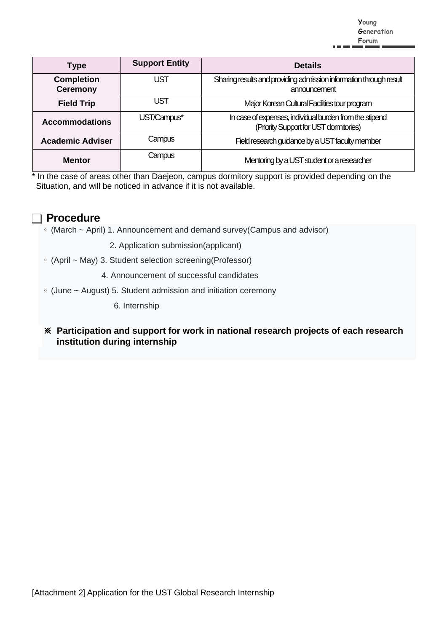**Young Generation Forum**

| <b>Type</b>                          | <b>Support Entity</b> | <b>Details</b>                                                                                    |
|--------------------------------------|-----------------------|---------------------------------------------------------------------------------------------------|
| <b>Completion</b><br><b>Ceremony</b> | <b>UST</b>            | Sharing results and providing admission information through result<br>announcement                |
| <b>Field Trip</b>                    | UST                   | Major Korean Cultural Facilities tour program                                                     |
| <b>Accommodations</b>                | UST/Campus*           | In case of expenses, individual burden from the stipend<br>(Priority Support for UST dormitories) |
| <b>Academic Adviser</b>              | Campus                | Field research guidance by a UST faculty member                                                   |
| <b>Mentor</b>                        | Campus                | Mentoring by a UST student or a researcher                                                        |

\* In the case of areas other than Daejeon, campus dormitory support is provided depending on the Situation, and will be noticed in advance if it is not available.

## **Procedure**

- ∘ (March ~ April) 1. Announcement and demand survey(Campus and advisor)
	- 2. Application submission(applicant)
- ∘ (April ~ May) 3. Student selection screening(Professor)
	- 4. Announcement of successful candidates
- ∘ (June ~ August) 5. Student admission and initiation ceremony

6. Internship

※ **Participation and support for work in national research projects of each research institution during internship**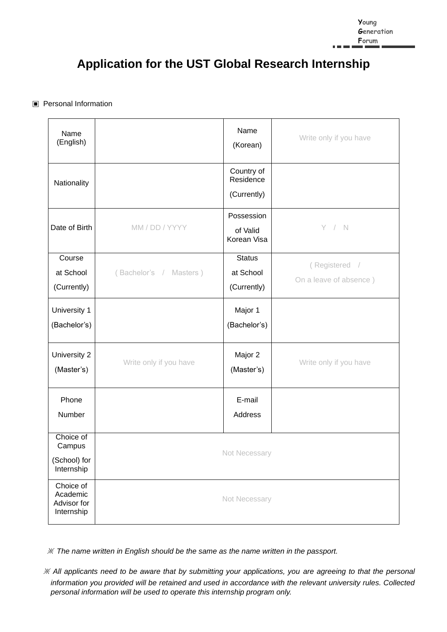# **Application for the UST Global Research Internship**

#### ▣ Personal Information

| Name<br>(English)                                  |                           | Name<br>(Korean)                          | Write only if you have                  |
|----------------------------------------------------|---------------------------|-------------------------------------------|-----------------------------------------|
| Nationality                                        |                           | Country of<br>Residence<br>(Currently)    |                                         |
| Date of Birth                                      | MM / DD / YYYY            | Possession<br>of Valid<br>Korean Visa     | Y / N                                   |
| Course<br>at School<br>(Currently)                 | (Bachelor's /<br>Masters) | <b>Status</b><br>at School<br>(Currently) | (Registered /<br>On a leave of absence) |
| University 1<br>(Bachelor's)                       |                           | Major 1<br>(Bachelor's)                   |                                         |
| University 2<br>(Master's)                         | Write only if you have    | Major 2<br>(Master's)                     | Write only if you have                  |
| Phone<br>Number                                    |                           | E-mail<br>Address                         |                                         |
| Choice of<br>Campus<br>(School) for<br>Internship  |                           | Not Necessary                             |                                         |
| Choice of<br>Academic<br>Advisor for<br>Internship |                           | Not Necessary                             |                                         |

※ *The name written in English should be the same as the name written in the passport.*

※ *All applicants need to be aware that by submitting your applications, you are agreeing to that the personal information you provided will be retained and used in accordance with the relevant university rules. Collected personal information will be used to operate this internship program only.*